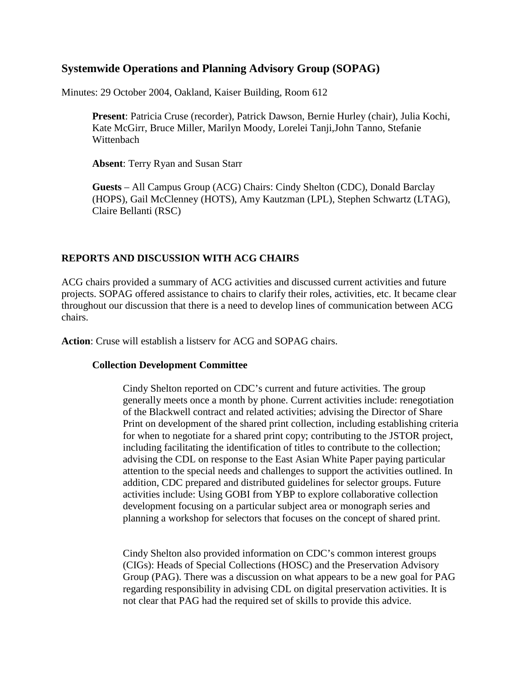# **Systemwide Operations and Planning Advisory Group (SOPAG)**

Minutes: 29 October 2004, Oakland, Kaiser Building, Room 612

**Present**: Patricia Cruse (recorder), Patrick Dawson, Bernie Hurley (chair), Julia Kochi, Kate McGirr, Bruce Miller, Marilyn Moody, Lorelei Tanji,John Tanno, Stefanie Wittenbach

**Absent**: Terry Ryan and Susan Starr

**Guests** – All Campus Group (ACG) Chairs: Cindy Shelton (CDC), Donald Barclay (HOPS), Gail McClenney (HOTS), Amy Kautzman (LPL), Stephen Schwartz (LTAG), Claire Bellanti (RSC)

# **REPORTS AND DISCUSSION WITH ACG CHAIRS**

ACG chairs provided a summary of ACG activities and discussed current activities and future projects. SOPAG offered assistance to chairs to clarify their roles, activities, etc. It became clear throughout our discussion that there is a need to develop lines of communication between ACG chairs.

**Action**: Cruse will establish a listserv for ACG and SOPAG chairs.

# **Collection Development Committee**

Cindy Shelton reported on CDC's current and future activities. The group generally meets once a month by phone. Current activities include: renegotiation of the Blackwell contract and related activities; advising the Director of Share Print on development of the shared print collection, including establishing criteria for when to negotiate for a shared print copy; contributing to the JSTOR project, including facilitating the identification of titles to contribute to the collection; advising the CDL on response to the East Asian White Paper paying particular attention to the special needs and challenges to support the activities outlined. In addition, CDC prepared and distributed guidelines for selector groups. Future activities include: Using GOBI from YBP to explore collaborative collection development focusing on a particular subject area or monograph series and planning a workshop for selectors that focuses on the concept of shared print.

Cindy Shelton also provided information on CDC's common interest groups (CIGs): Heads of Special Collections (HOSC) and the Preservation Advisory Group (PAG). There was a discussion on what appears to be a new goal for PAG regarding responsibility in advising CDL on digital preservation activities. It is not clear that PAG had the required set of skills to provide this advice.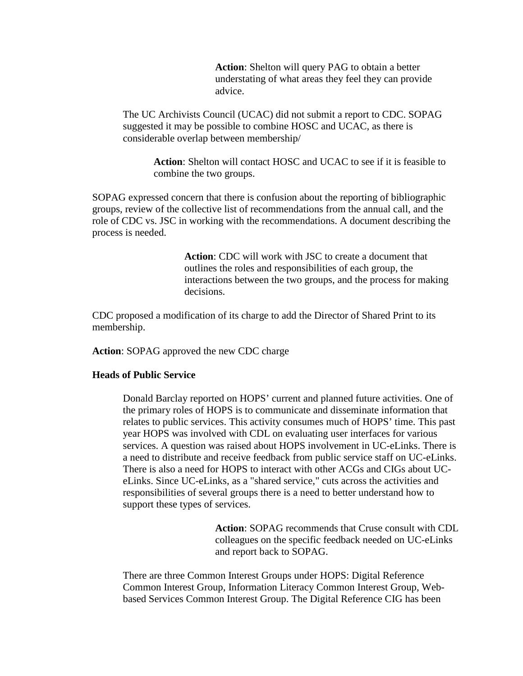**Action**: Shelton will query PAG to obtain a better understating of what areas they feel they can provide advice.

The UC Archivists Council (UCAC) did not submit a report to CDC. SOPAG suggested it may be possible to combine HOSC and UCAC, as there is considerable overlap between membership/

**Action**: Shelton will contact HOSC and UCAC to see if it is feasible to combine the two groups.

SOPAG expressed concern that there is confusion about the reporting of bibliographic groups, review of the collective list of recommendations from the annual call, and the role of CDC vs. JSC in working with the recommendations. A document describing the process is needed.

> **Action**: CDC will work with JSC to create a document that outlines the roles and responsibilities of each group, the interactions between the two groups, and the process for making decisions.

CDC proposed a modification of its charge to add the Director of Shared Print to its membership.

**Action**: SOPAG approved the new CDC charge

#### **Heads of Public Service**

Donald Barclay reported on HOPS' current and planned future activities. One of the primary roles of HOPS is to communicate and disseminate information that relates to public services. This activity consumes much of HOPS' time. This past year HOPS was involved with CDL on evaluating user interfaces for various services. A question was raised about HOPS involvement in UC-eLinks. There is a need to distribute and receive feedback from public service staff on UC-eLinks. There is also a need for HOPS to interact with other ACGs and CIGs about UCeLinks. Since UC-eLinks, as a "shared service," cuts across the activities and responsibilities of several groups there is a need to better understand how to support these types of services.

> **Action**: SOPAG recommends that Cruse consult with CDL colleagues on the specific feedback needed on UC-eLinks and report back to SOPAG.

There are three Common Interest Groups under HOPS: Digital Reference Common Interest Group, Information Literacy Common Interest Group, Webbased Services Common Interest Group. The Digital Reference CIG has been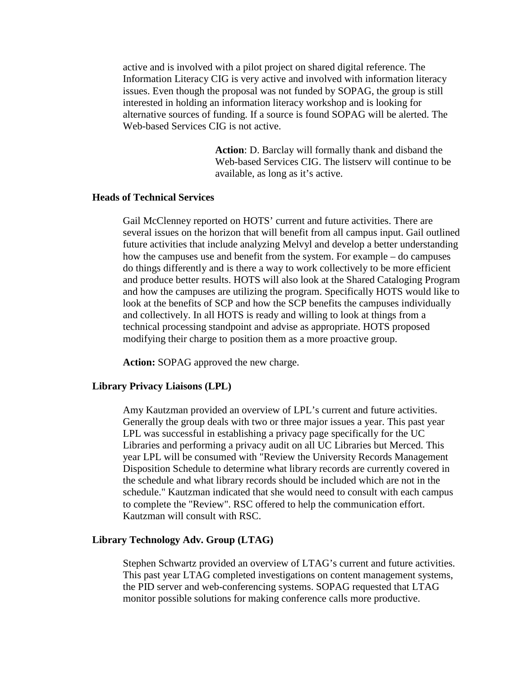active and is involved with a pilot project on shared digital reference. The Information Literacy CIG is very active and involved with information literacy issues. Even though the proposal was not funded by SOPAG, the group is still interested in holding an information literacy workshop and is looking for alternative sources of funding. If a source is found SOPAG will be alerted. The Web-based Services CIG is not active.

> **Action**: D. Barclay will formally thank and disband the Web-based Services CIG. The listserv will continue to be available, as long as it's active.

#### **Heads of Technical Services**

Gail McClenney reported on HOTS' current and future activities. There are several issues on the horizon that will benefit from all campus input. Gail outlined future activities that include analyzing Melvyl and develop a better understanding how the campuses use and benefit from the system. For example – do campuses do things differently and is there a way to work collectively to be more efficient and produce better results. HOTS will also look at the Shared Cataloging Program and how the campuses are utilizing the program. Specifically HOTS would like to look at the benefits of SCP and how the SCP benefits the campuses individually and collectively. In all HOTS is ready and willing to look at things from a technical processing standpoint and advise as appropriate. HOTS proposed modifying their charge to position them as a more proactive group.

**Action:** SOPAG approved the new charge.

#### **Library Privacy Liaisons (LPL)**

Amy Kautzman provided an overview of LPL's current and future activities. Generally the group deals with two or three major issues a year. This past year LPL was successful in establishing a privacy page specifically for the UC Libraries and performing a privacy audit on all UC Libraries but Merced. This year LPL will be consumed with "Review the University Records Management Disposition Schedule to determine what library records are currently covered in the schedule and what library records should be included which are not in the schedule." Kautzman indicated that she would need to consult with each campus to complete the "Review". RSC offered to help the communication effort. Kautzman will consult with RSC.

#### **Library Technology Adv. Group (LTAG)**

Stephen Schwartz provided an overview of LTAG's current and future activities. This past year LTAG completed investigations on content management systems, the PID server and web-conferencing systems. SOPAG requested that LTAG monitor possible solutions for making conference calls more productive.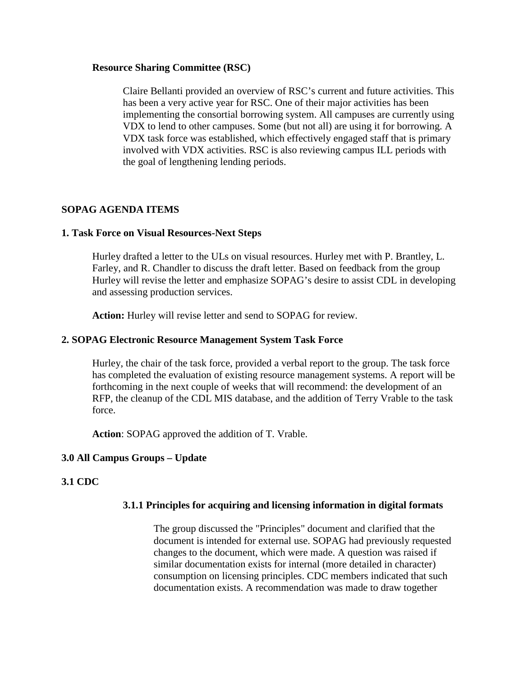#### **Resource Sharing Committee (RSC)**

Claire Bellanti provided an overview of RSC's current and future activities. This has been a very active year for RSC. One of their major activities has been implementing the consortial borrowing system. All campuses are currently using VDX to lend to other campuses. Some (but not all) are using it for borrowing. A VDX task force was established, which effectively engaged staff that is primary involved with VDX activities. RSC is also reviewing campus ILL periods with the goal of lengthening lending periods.

## **SOPAG AGENDA ITEMS**

#### **1. Task Force on Visual Resources-Next Steps**

Hurley drafted a letter to the ULs on visual resources. Hurley met with P. Brantley, L. Farley, and R. Chandler to discuss the draft letter. Based on feedback from the group Hurley will revise the letter and emphasize SOPAG's desire to assist CDL in developing and assessing production services.

**Action:** Hurley will revise letter and send to SOPAG for review.

#### **2. SOPAG Electronic Resource Management System Task Force**

Hurley, the chair of the task force, provided a verbal report to the group. The task force has completed the evaluation of existing resource management systems. A report will be forthcoming in the next couple of weeks that will recommend: the development of an RFP, the cleanup of the CDL MIS database, and the addition of Terry Vrable to the task force.

**Action**: SOPAG approved the addition of T. Vrable.

### **3.0 All Campus Groups – Update**

### **3.1 CDC**

### **3.1.1 Principles for acquiring and licensing information in digital formats**

The group discussed the "Principles" document and clarified that the document is intended for external use. SOPAG had previously requested changes to the document, which were made. A question was raised if similar documentation exists for internal (more detailed in character) consumption on licensing principles. CDC members indicated that such documentation exists. A recommendation was made to draw together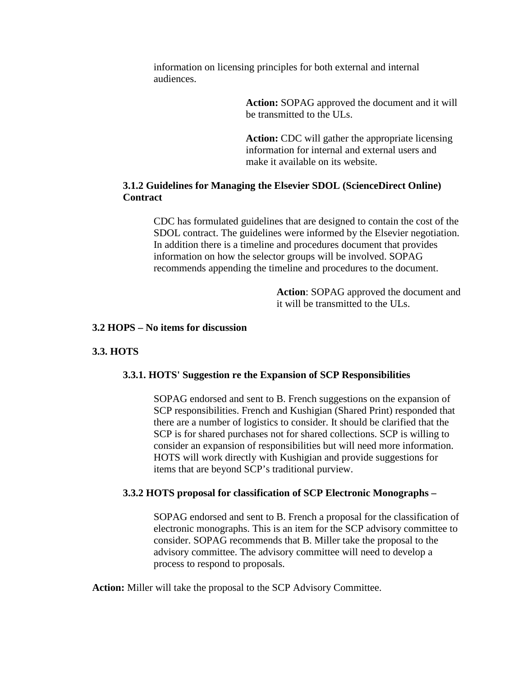information on licensing principles for both external and internal audiences.

> **Action:** SOPAG approved the document and it will be transmitted to the ULs.

**Action:** CDC will gather the appropriate licensing information for internal and external users and make it available on its website.

## **3.1.2 Guidelines for Managing the Elsevier SDOL (ScienceDirect Online) Contract**

CDC has formulated guidelines that are designed to contain the cost of the SDOL contract. The guidelines were informed by the Elsevier negotiation. In addition there is a timeline and procedures document that provides information on how the selector groups will be involved. SOPAG recommends appending the timeline and procedures to the document.

> **Action**: SOPAG approved the document and it will be transmitted to the ULs.

### **3.2 HOPS – No items for discussion**

### **3.3. HOTS**

### **3.3.1. HOTS' Suggestion re the Expansion of SCP Responsibilities**

SOPAG endorsed and sent to B. French suggestions on the expansion of SCP responsibilities. French and Kushigian (Shared Print) responded that there are a number of logistics to consider. It should be clarified that the SCP is for shared purchases not for shared collections. SCP is willing to consider an expansion of responsibilities but will need more information. HOTS will work directly with Kushigian and provide suggestions for items that are beyond SCP's traditional purview.

### **3.3.2 HOTS proposal for classification of SCP Electronic Monographs –**

SOPAG endorsed and sent to B. French a proposal for the classification of electronic monographs. This is an item for the SCP advisory committee to consider. SOPAG recommends that B. Miller take the proposal to the advisory committee. The advisory committee will need to develop a process to respond to proposals.

**Action:** Miller will take the proposal to the SCP Advisory Committee.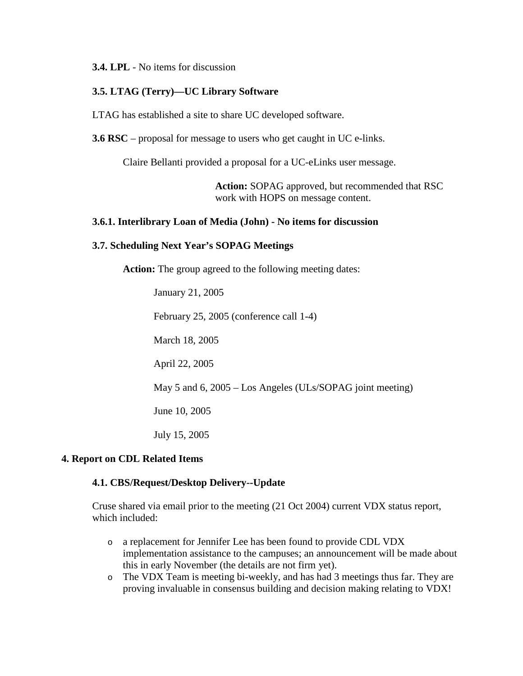#### **3.4. LPL** - No items for discussion

### **3.5. LTAG (Terry)—UC Library Software**

LTAG has established a site to share UC developed software.

**3.6 RSC** – proposal for message to users who get caught in UC e-links.

Claire Bellanti provided a proposal for a UC-eLinks user message.

**Action:** SOPAG approved, but recommended that RSC work with HOPS on message content.

### **3.6.1. Interlibrary Loan of Media (John) - No items for discussion**

#### **3.7. Scheduling Next Year's SOPAG Meetings**

**Action:** The group agreed to the following meeting dates:

January 21, 2005 February 25, 2005 (conference call 1-4) March 18, 2005 April 22, 2005 May 5 and 6, 2005 – Los Angeles (ULs/SOPAG joint meeting) June 10, 2005 July 15, 2005

### **4. Report on CDL Related Items**

#### **4.1. CBS/Request/Desktop Delivery--Update**

Cruse shared via email prior to the meeting (21 Oct 2004) current VDX status report, which included:

- o a replacement for Jennifer Lee has been found to provide CDL VDX implementation assistance to the campuses; an announcement will be made about this in early November (the details are not firm yet).
- o The VDX Team is meeting bi-weekly, and has had 3 meetings thus far. They are proving invaluable in consensus building and decision making relating to VDX!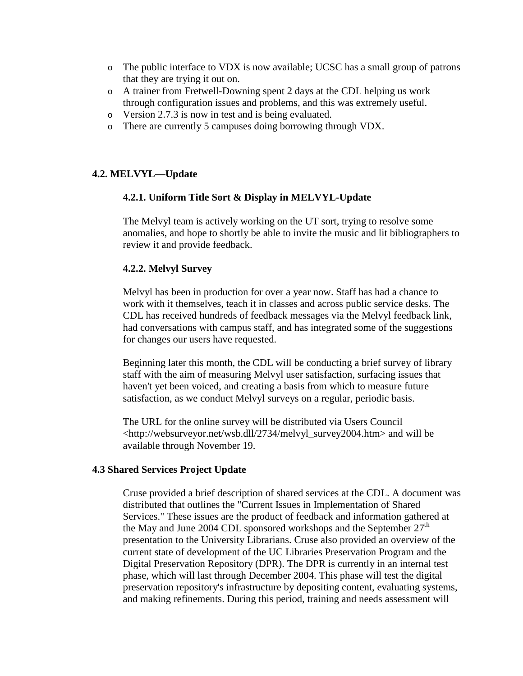- o The public interface to VDX is now available; UCSC has a small group of patrons that they are trying it out on.
- o A trainer from Fretwell-Downing spent 2 days at the CDL helping us work through configuration issues and problems, and this was extremely useful.
- o Version 2.7.3 is now in test and is being evaluated.
- o There are currently 5 campuses doing borrowing through VDX.

# **4.2. MELVYL—Update**

### **4.2.1. Uniform Title Sort & Display in MELVYL-Update**

The Melvyl team is actively working on the UT sort, trying to resolve some anomalies, and hope to shortly be able to invite the music and lit bibliographers to review it and provide feedback.

### **4.2.2. Melvyl Survey**

Melvyl has been in production for over a year now. Staff has had a chance to work with it themselves, teach it in classes and across public service desks. The CDL has received hundreds of feedback messages via the Melvyl feedback link, had conversations with campus staff, and has integrated some of the suggestions for changes our users have requested.

Beginning later this month, the CDL will be conducting a brief survey of library staff with the aim of measuring Melvyl user satisfaction, surfacing issues that haven't yet been voiced, and creating a basis from which to measure future satisfaction, as we conduct Melvyl surveys on a regular, periodic basis.

The URL for the online survey will be distributed via Users Council <http://websurveyor.net/wsb.dll/2734/melvyl\_survey2004.htm> and will be available through November 19.

### **4.3 Shared Services Project Update**

Cruse provided a brief description of shared services at the CDL. A document was distributed that outlines the "Current Issues in Implementation of Shared Services." These issues are the product of feedback and information gathered at the May and June 2004 CDL sponsored workshops and the September  $27<sup>th</sup>$ presentation to the University Librarians. Cruse also provided an overview of the current state of development of the UC Libraries Preservation Program and the Digital Preservation Repository (DPR). The DPR is currently in an internal test phase, which will last through December 2004. This phase will test the digital preservation repository's infrastructure by depositing content, evaluating systems, and making refinements. During this period, training and needs assessment will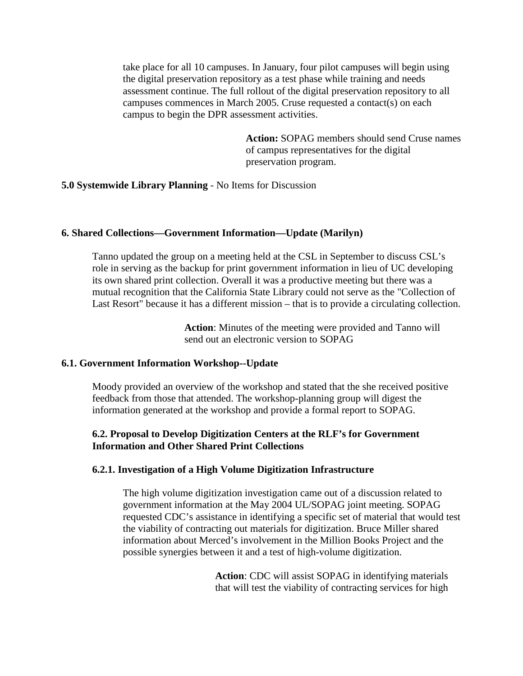take place for all 10 campuses. In January, four pilot campuses will begin using the digital preservation repository as a test phase while training and needs assessment continue. The full rollout of the digital preservation repository to all campuses commences in March 2005. Cruse requested a contact(s) on each campus to begin the DPR assessment activities.

> **Action:** SOPAG members should send Cruse names of campus representatives for the digital preservation program.

## **5.0 Systemwide Library Planning** - No Items for Discussion

#### **6. Shared Collections—Government Information—Update (Marilyn)**

Tanno updated the group on a meeting held at the CSL in September to discuss CSL's role in serving as the backup for print government information in lieu of UC developing its own shared print collection. Overall it was a productive meeting but there was a mutual recognition that the California State Library could not serve as the "Collection of Last Resort" because it has a different mission – that is to provide a circulating collection.

> **Action**: Minutes of the meeting were provided and Tanno will send out an electronic version to SOPAG

#### **6.1. Government Information Workshop--Update**

Moody provided an overview of the workshop and stated that the she received positive feedback from those that attended. The workshop-planning group will digest the information generated at the workshop and provide a formal report to SOPAG.

## **6.2. Proposal to Develop Digitization Centers at the RLF's for Government Information and Other Shared Print Collections**

### **6.2.1. Investigation of a High Volume Digitization Infrastructure**

The high volume digitization investigation came out of a discussion related to government information at the May 2004 UL/SOPAG joint meeting. SOPAG requested CDC's assistance in identifying a specific set of material that would test the viability of contracting out materials for digitization. Bruce Miller shared information about Merced's involvement in the Million Books Project and the possible synergies between it and a test of high-volume digitization.

> **Action**: CDC will assist SOPAG in identifying materials that will test the viability of contracting services for high